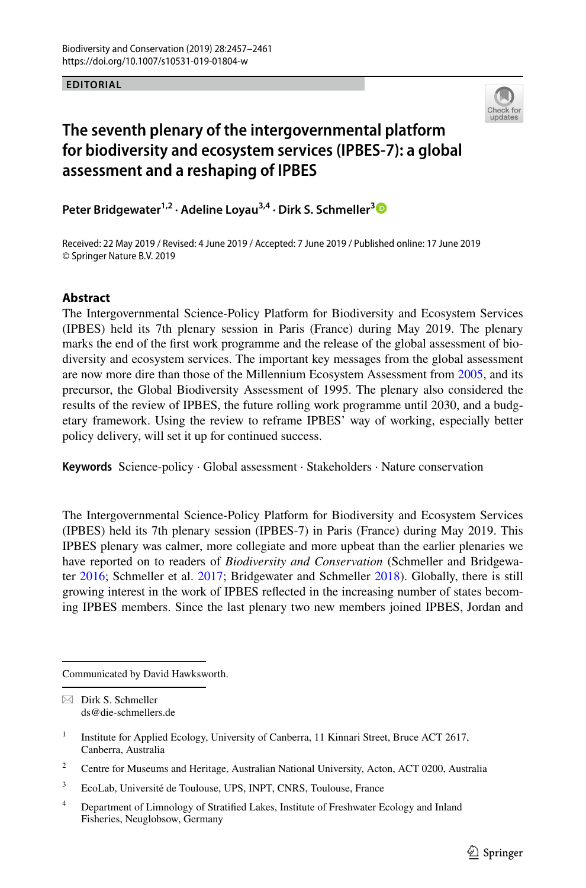## **EDITORIAL**



## **The seventh plenary of the intergovernmental platform for biodiversity and ecosystem services (IPBES‑7): a global assessment and a reshaping of IPBES**

**Peter Bridgewater1,2 · Adeline Loyau3,4 · Dirk S. Schmeller[3](https://orcid.org/0000-0002-3860-9933)**

Received: 22 May 2019 / Revised: 4 June 2019 / Accepted: 7 June 2019 / Published online: 17 June 2019 © Springer Nature B.V. 2019

## **Abstract**

The Intergovernmental Science-Policy Platform for Biodiversity and Ecosystem Services (IPBES) held its 7th plenary session in Paris (France) during May 2019. The plenary marks the end of the frst work programme and the release of the global assessment of biodiversity and ecosystem services. The important key messages from the global assessment are now more dire than those of the Millennium Ecosystem Assessment from [2005,](#page-3-0) and its precursor, the Global Biodiversity Assessment of 1995. The plenary also considered the results of the review of IPBES, the future rolling work programme until 2030, and a budgetary framework. Using the review to reframe IPBES' way of working, especially better policy delivery, will set it up for continued success.

**Keywords** Science-policy · Global assessment · Stakeholders · Nature conservation

The Intergovernmental Science-Policy Platform for Biodiversity and Ecosystem Services (IPBES) held its 7th plenary session (IPBES-7) in Paris (France) during May 2019. This IPBES plenary was calmer, more collegiate and more upbeat than the earlier plenaries we have reported on to readers of *Biodiversity and Conservation* (Schmeller and Bridgewater [2016;](#page-4-0) Schmeller et al. [2017](#page-4-1); Bridgewater and Schmeller [2018](#page-3-1)). Globally, there is still growing interest in the work of IPBES refected in the increasing number of states becoming IPBES members. Since the last plenary two new members joined IPBES, Jordan and

Communicated by David Hawksworth.

 $\boxtimes$  Dirk S. Schmeller ds@die-schmellers.de

<sup>&</sup>lt;sup>1</sup> Institute for Applied Ecology, University of Canberra, 11 Kinnari Street, Bruce ACT 2617, Canberra, Australia

<sup>&</sup>lt;sup>2</sup> Centre for Museums and Heritage, Australian National University, Acton, ACT 0200, Australia

<sup>3</sup> EcoLab, Université de Toulouse, UPS, INPT, CNRS, Toulouse, France

<sup>4</sup> Department of Limnology of Stratifed Lakes, Institute of Freshwater Ecology and Inland Fisheries, Neuglobsow, Germany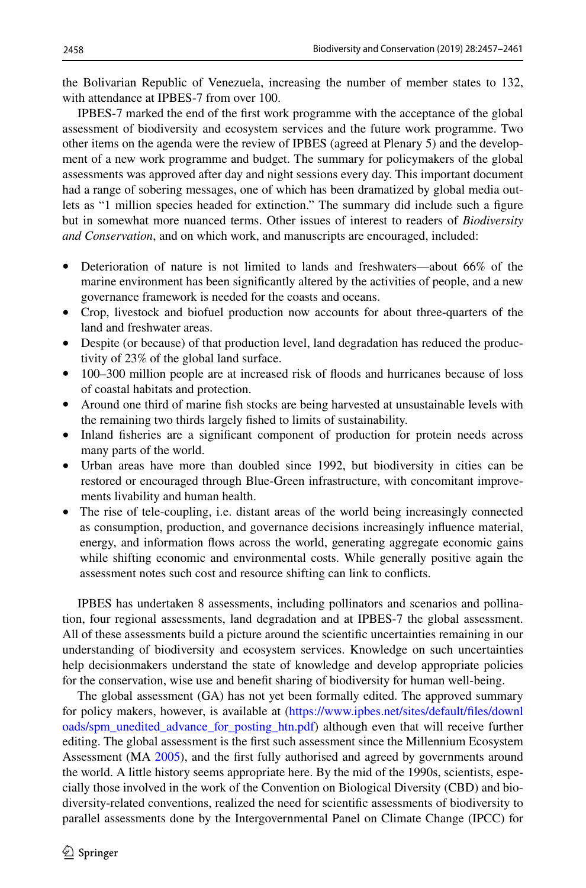the Bolivarian Republic of Venezuela, increasing the number of member states to 132, with attendance at IPBES-7 from over 100.

IPBES-7 marked the end of the frst work programme with the acceptance of the global assessment of biodiversity and ecosystem services and the future work programme. Two other items on the agenda were the review of IPBES (agreed at Plenary 5) and the development of a new work programme and budget. The summary for policymakers of the global assessments was approved after day and night sessions every day. This important document had a range of sobering messages, one of which has been dramatized by global media outlets as "1 million species headed for extinction." The summary did include such a fgure but in somewhat more nuanced terms. Other issues of interest to readers of *Biodiversity and Conservation*, and on which work, and manuscripts are encouraged, included:

- Deterioration of nature is not limited to lands and freshwaters—about 66% of the marine environment has been signifcantly altered by the activities of people, and a new governance framework is needed for the coasts and oceans.
- Crop, livestock and biofuel production now accounts for about three-quarters of the land and freshwater areas.
- Despite (or because) of that production level, land degradation has reduced the productivity of 23% of the global land surface.
- 100–300 million people are at increased risk of floods and hurricanes because of loss of coastal habitats and protection.
- Around one third of marine fsh stocks are being harvested at unsustainable levels with the remaining two thirds largely fshed to limits of sustainability.
- Inland fisheries are a significant component of production for protein needs across many parts of the world.
- Urban areas have more than doubled since 1992, but biodiversity in cities can be restored or encouraged through Blue-Green infrastructure, with concomitant improvements livability and human health.
- The rise of tele-coupling, i.e. distant areas of the world being increasingly connected as consumption, production, and governance decisions increasingly infuence material, energy, and information fows across the world, generating aggregate economic gains while shifting economic and environmental costs. While generally positive again the assessment notes such cost and resource shifting can link to conficts.

IPBES has undertaken 8 assessments, including pollinators and scenarios and pollination, four regional assessments, land degradation and at IPBES-7 the global assessment. All of these assessments build a picture around the scientifc uncertainties remaining in our understanding of biodiversity and ecosystem services. Knowledge on such uncertainties help decisionmakers understand the state of knowledge and develop appropriate policies for the conservation, wise use and beneft sharing of biodiversity for human well-being.

The global assessment (GA) has not yet been formally edited. The approved summary for policy makers, however, is available at ([https://www.ipbes.net/sites/default/fles/downl](https://www.ipbes.net/sites/default/files/downloads/spm_unedited_advance_for_posting_htn.pdf) [oads/spm\\_unedited\\_advance\\_for\\_posting\\_htn.pdf\)](https://www.ipbes.net/sites/default/files/downloads/spm_unedited_advance_for_posting_htn.pdf) although even that will receive further editing. The global assessment is the first such assessment since the Millennium Ecosystem Assessment (MA [2005](#page-4-2)), and the frst fully authorised and agreed by governments around the world. A little history seems appropriate here. By the mid of the 1990s, scientists, especially those involved in the work of the Convention on Biological Diversity (CBD) and biodiversity-related conventions, realized the need for scientifc assessments of biodiversity to parallel assessments done by the Intergovernmental Panel on Climate Change (IPCC) for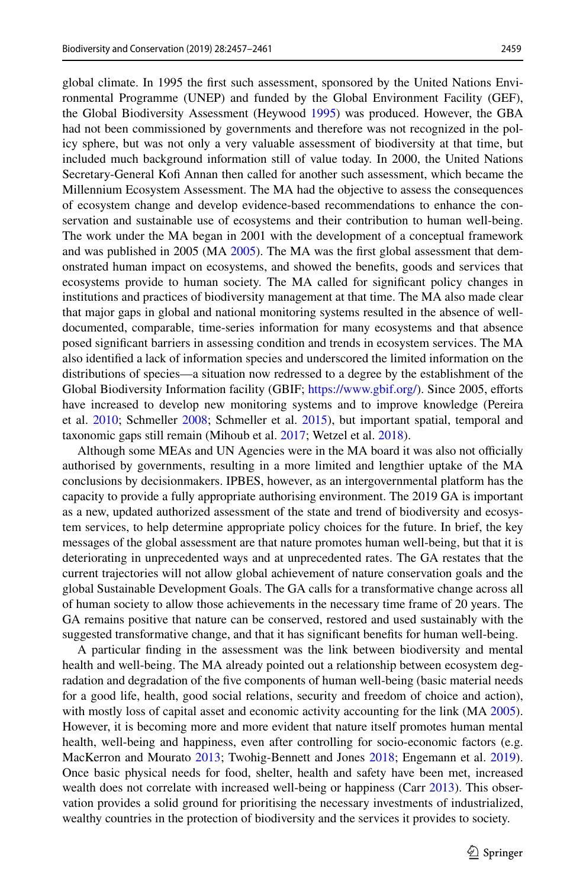global climate. In 1995 the frst such assessment, sponsored by the United Nations Environmental Programme (UNEP) and funded by the Global Environment Facility (GEF), the Global Biodiversity Assessment (Heywood [1995](#page-3-2)) was produced. However, the GBA had not been commissioned by governments and therefore was not recognized in the policy sphere, but was not only a very valuable assessment of biodiversity at that time, but included much background information still of value today. In 2000, the United Nations Secretary-General Kof Annan then called for another such assessment, which became the Millennium Ecosystem Assessment. The MA had the objective to assess the consequences of ecosystem change and develop evidence-based recommendations to enhance the conservation and sustainable use of ecosystems and their contribution to human well-being. The work under the MA began in 2001 with the development of a conceptual framework and was published in 2005 (MA [2005\)](#page-4-2). The MA was the frst global assessment that demonstrated human impact on ecosystems, and showed the benefts, goods and services that ecosystems provide to human society. The MA called for signifcant policy changes in institutions and practices of biodiversity management at that time. The MA also made clear that major gaps in global and national monitoring systems resulted in the absence of welldocumented, comparable, time-series information for many ecosystems and that absence posed signifcant barriers in assessing condition and trends in ecosystem services. The MA also identifed a lack of information species and underscored the limited information on the distributions of species—a situation now redressed to a degree by the establishment of the Global Biodiversity Information facility (GBIF; [https://www.gbif.org/\)](https://www.gbif.org/). Since 2005, eforts have increased to develop new monitoring systems and to improve knowledge (Pereira et al. [2010;](#page-4-3) Schmeller [2008;](#page-4-4) Schmeller et al. [2015\)](#page-4-5), but important spatial, temporal and taxonomic gaps still remain (Mihoub et al. [2017](#page-4-6); Wetzel et al. [2018\)](#page-4-7).

Although some MEAs and UN Agencies were in the MA board it was also not officially authorised by governments, resulting in a more limited and lengthier uptake of the MA conclusions by decisionmakers. IPBES, however, as an intergovernmental platform has the capacity to provide a fully appropriate authorising environment. The 2019 GA is important as a new, updated authorized assessment of the state and trend of biodiversity and ecosystem services, to help determine appropriate policy choices for the future. In brief, the key messages of the global assessment are that nature promotes human well-being, but that it is deteriorating in unprecedented ways and at unprecedented rates. The GA restates that the current trajectories will not allow global achievement of nature conservation goals and the global Sustainable Development Goals. The GA calls for a transformative change across all of human society to allow those achievements in the necessary time frame of 20 years. The GA remains positive that nature can be conserved, restored and used sustainably with the suggested transformative change, and that it has signifcant benefts for human well-being.

A particular fnding in the assessment was the link between biodiversity and mental health and well-being. The MA already pointed out a relationship between ecosystem degradation and degradation of the fve components of human well-being (basic material needs for a good life, health, good social relations, security and freedom of choice and action), with mostly loss of capital asset and economic activity accounting for the link (MA [2005](#page-4-2)). However, it is becoming more and more evident that nature itself promotes human mental health, well-being and happiness, even after controlling for socio-economic factors (e.g. MacKerron and Mourato [2013;](#page-3-0) Twohig-Bennett and Jones [2018](#page-4-8); Engemann et al. [2019](#page-3-3)). Once basic physical needs for food, shelter, health and safety have been met, increased wealth does not correlate with increased well-being or happiness (Carr [2013](#page-3-4)). This observation provides a solid ground for prioritising the necessary investments of industrialized, wealthy countries in the protection of biodiversity and the services it provides to society.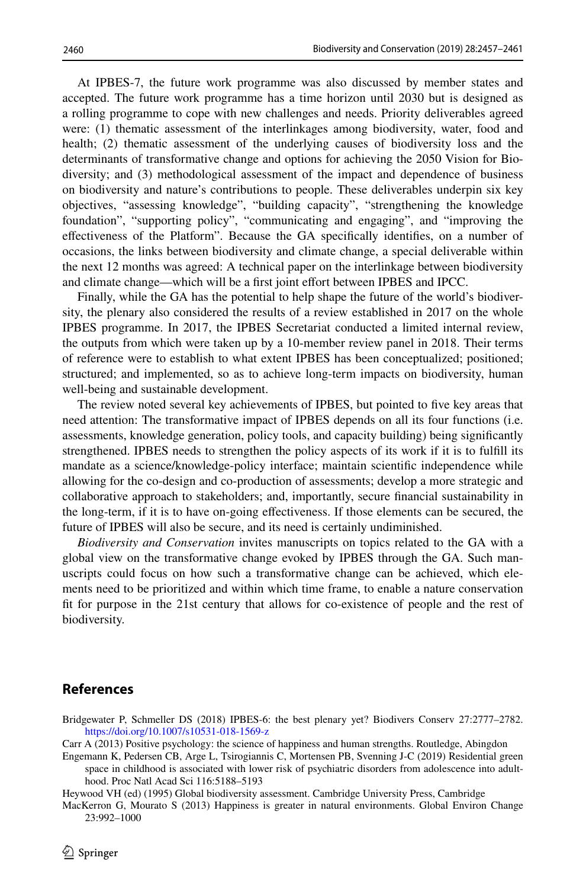At IPBES-7, the future work programme was also discussed by member states and accepted. The future work programme has a time horizon until 2030 but is designed as a rolling programme to cope with new challenges and needs. Priority deliverables agreed were: (1) thematic assessment of the interlinkages among biodiversity, water, food and health; (2) thematic assessment of the underlying causes of biodiversity loss and the determinants of transformative change and options for achieving the 2050 Vision for Biodiversity; and (3) methodological assessment of the impact and dependence of business on biodiversity and nature's contributions to people. These deliverables underpin six key objectives, "assessing knowledge", "building capacity", "strengthening the knowledge foundation", "supporting policy", "communicating and engaging", and "improving the efectiveness of the Platform". Because the GA specifcally identifes, on a number of occasions, the links between biodiversity and climate change, a special deliverable within the next 12 months was agreed: A technical paper on the interlinkage between biodiversity and climate change—which will be a frst joint efort between IPBES and IPCC.

Finally, while the GA has the potential to help shape the future of the world's biodiversity, the plenary also considered the results of a review established in 2017 on the whole IPBES programme. In 2017, the IPBES Secretariat conducted a limited internal review, the outputs from which were taken up by a 10-member review panel in 2018. Their terms of reference were to establish to what extent IPBES has been conceptualized; positioned; structured; and implemented, so as to achieve long-term impacts on biodiversity, human well-being and sustainable development.

The review noted several key achievements of IPBES, but pointed to fve key areas that need attention: The transformative impact of IPBES depends on all its four functions (i.e. assessments, knowledge generation, policy tools, and capacity building) being signifcantly strengthened. IPBES needs to strengthen the policy aspects of its work if it is to fulfll its mandate as a science/knowledge-policy interface; maintain scientifc independence while allowing for the co-design and co-production of assessments; develop a more strategic and collaborative approach to stakeholders; and, importantly, secure fnancial sustainability in the long-term, if it is to have on-going efectiveness. If those elements can be secured, the future of IPBES will also be secure, and its need is certainly undiminished.

*Biodiversity and Conservation* invites manuscripts on topics related to the GA with a global view on the transformative change evoked by IPBES through the GA. Such manuscripts could focus on how such a transformative change can be achieved, which elements need to be prioritized and within which time frame, to enable a nature conservation ft for purpose in the 21st century that allows for co-existence of people and the rest of biodiversity.

## **References**

- <span id="page-3-1"></span>Bridgewater P, Schmeller DS (2018) IPBES-6: the best plenary yet? Biodivers Conserv 27:2777–2782. <https://doi.org/10.1007/s10531-018-1569-z>
- <span id="page-3-4"></span>Carr A (2013) Positive psychology: the science of happiness and human strengths. Routledge, Abingdon
- <span id="page-3-3"></span>Engemann K, Pedersen CB, Arge L, Tsirogiannis C, Mortensen PB, Svenning J-C (2019) Residential green space in childhood is associated with lower risk of psychiatric disorders from adolescence into adulthood. Proc Natl Acad Sci 116:5188–5193
- <span id="page-3-2"></span>Heywood VH (ed) (1995) Global biodiversity assessment. Cambridge University Press, Cambridge

<span id="page-3-0"></span>MacKerron G, Mourato S (2013) Happiness is greater in natural environments. Global Environ Change 23:992–1000